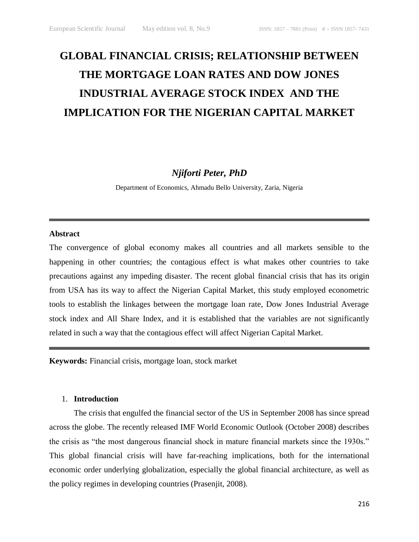# **GLOBAL FINANCIAL CRISIS; RELATIONSHIP BETWEEN THE MORTGAGE LOAN RATES AND DOW JONES INDUSTRIAL AVERAGE STOCK INDEX AND THE IMPLICATION FOR THE NIGERIAN CAPITAL MARKET**

*Njiforti Peter, PhD*

Department of Economics, Ahmadu Bello University, Zaria, Nigeria

#### **Abstract**

The convergence of global economy makes all countries and all markets sensible to the happening in other countries; the contagious effect is what makes other countries to take precautions against any impeding disaster. The recent global financial crisis that has its origin from USA has its way to affect the Nigerian Capital Market, this study employed econometric tools to establish the linkages between the mortgage loan rate, Dow Jones Industrial Average stock index and All Share Index, and it is established that the variables are not significantly related in such a way that the contagious effect will affect Nigerian Capital Market.

**Keywords:** Financial crisis, mortgage loan, stock market

### 1. **Introduction**

The crisis that engulfed the financial sector of the US in September 2008 has since spread across the globe. The recently released IMF World Economic Outlook (October 2008) describes the crisis as "the most dangerous financial shock in mature financial markets since the 1930s." This global financial crisis will have far-reaching implications, both for the international economic order underlying globalization, especially the global financial architecture, as well as the policy regimes in developing countries (Prasenjit, 2008).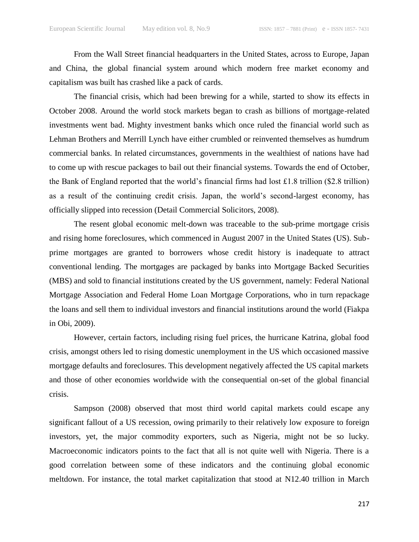From the Wall Street financial headquarters in the United States, across to Europe, Japan and China, the global financial system around which modern free market economy and capitalism was built has crashed like a pack of cards.

The financial crisis, which had been brewing for a while, started to show its effects in October 2008. Around the world stock markets began to crash as billions of mortgage-related investments went bad. Mighty investment banks which once ruled the financial world such as Lehman Brothers and Merrill Lynch have either crumbled or reinvented themselves as humdrum commercial banks. In related circumstances, governments in the wealthiest of nations have had to come up with rescue packages to bail out their financial systems. Towards the end of October, the Bank of England reported that the world's financial firms had lost £1.8 trillion (\$2.8 trillion) as a result of the continuing credit crisis. Japan, the world's second-largest economy, has officially slipped into recession (Detail Commercial Solicitors, 2008).

The resent global economic melt-down was traceable to the sub-prime mortgage crisis and rising home foreclosures, which commenced in August 2007 in the United States (US). Subprime mortgages are granted to borrowers whose credit history is inadequate to attract conventional lending. The mortgages are packaged by banks into Mortgage Backed Securities (MBS) and sold to financial institutions created by the US government, namely: Federal National Mortgage Association and Federal Home Loan Mortgage Corporations, who in turn repackage the loans and sell them to individual investors and financial institutions around the world (Fiakpa in Obi, 2009).

However, certain factors, including rising fuel prices, the hurricane Katrina, global food crisis, amongst others led to rising domestic unemployment in the US which occasioned massive mortgage defaults and foreclosures. This development negatively affected the US capital markets and those of other economies worldwide with the consequential on-set of the global financial crisis.

Sampson (2008) observed that most third world capital markets could escape any significant fallout of a US recession, owing primarily to their relatively low exposure to foreign investors, yet, the major commodity exporters, such as Nigeria, might not be so lucky. Macroeconomic indicators points to the fact that all is not quite well with Nigeria. There is a good correlation between some of these indicators and the continuing global economic meltdown. For instance, the total market capitalization that stood at N12.40 trillion in March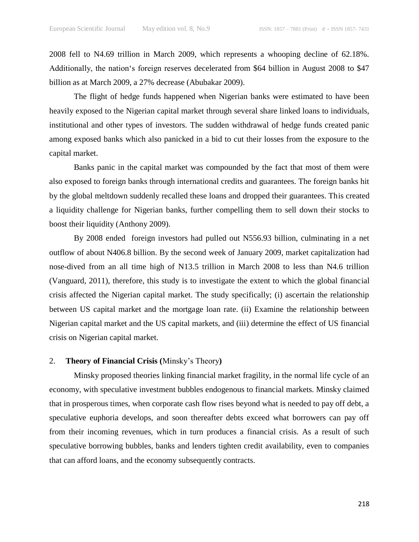2008 fell to N4.69 trillion in March 2009, which represents a whooping decline of 62.18%. Additionally, the nation's foreign reserves decelerated from \$64 billion in August 2008 to \$47 billion as at March 2009, a 27% decrease (Abubakar 2009).

The flight of hedge funds happened when Nigerian banks were estimated to have been heavily exposed to the Nigerian capital market through several share linked loans to individuals, institutional and other types of investors. The sudden withdrawal of hedge funds created panic among exposed banks which also panicked in a bid to cut their losses from the exposure to the capital market.

Banks panic in the capital market was compounded by the fact that most of them were also exposed to foreign banks through international credits and guarantees. The foreign banks hit by the global meltdown suddenly recalled these loans and dropped their guarantees. This created a liquidity challenge for Nigerian banks, further compelling them to sell down their stocks to boost their liquidity (Anthony 2009).

By 2008 ended foreign investors had pulled out N556.93 billion, culminating in a net outflow of about N406.8 billion. By the second week of January 2009, market capitalization had nose-dived from an all time high of N13.5 trillion in March 2008 to less than N4.6 trillion (Vanguard, 2011), therefore, this study is to investigate the extent to which the global financial crisis affected the Nigerian capital market. The study specifically; (i) ascertain the relationship between US capital market and the mortgage loan rate. (ii) Examine the relationship between Nigerian capital market and the US capital markets, and (iii) determine the effect of US financial crisis on Nigerian capital market.

#### 2. **Theory of Financial Crisis (**Minsky's Theory**)**

Minsky proposed theories linking financial market fragility, in the normal life cycle of an economy, with speculative investment bubbles endogenous to financial markets. Minsky claimed that in prosperous times, when corporate cash flow rises beyond what is needed to pay off debt, a speculative euphoria develops, and soon thereafter debts exceed what borrowers can pay off from their incoming revenues, which in turn produces a financial crisis. As a result of such speculative borrowing bubbles, banks and lenders tighten credit availability, even to companies that can afford loans, and the economy subsequently contracts.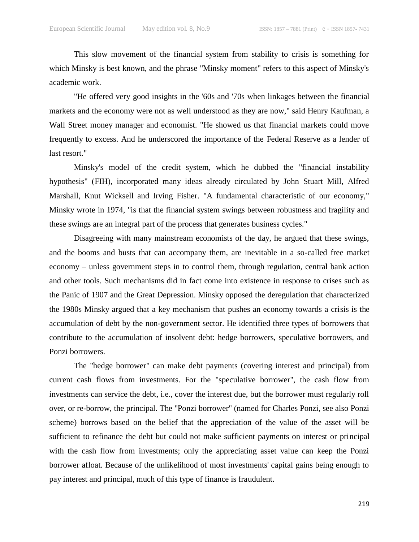This slow movement of the financial system from stability to crisis is something for which Minsky is best known, and the phrase "Minsky moment" refers to this aspect of Minsky's academic work.

"He offered very good insights in the '60s and '70s when linkages between the financial markets and the economy were not as well understood as they are now," said Henry Kaufman, a Wall Street money manager and economist. "He showed us that financial markets could move frequently to excess. And he underscored the importance of the Federal Reserve as a lender of last resort."

Minsky's model of the credit system, which he dubbed the "financial instability hypothesis" (FIH), incorporated many ideas already circulated by John Stuart Mill, Alfred Marshall, Knut Wicksell and Irving Fisher. "A fundamental characteristic of our economy," Minsky wrote in 1974, "is that the financial system swings between robustness and fragility and these swings are an integral part of the process that generates business cycles."

Disagreeing with many mainstream economists of the day, he argued that these swings, and the booms and busts that can accompany them, are inevitable in a so-called free market economy – unless government steps in to control them, through regulation, central bank action and other tools. Such mechanisms did in fact come into existence in response to crises such as the Panic of 1907 and the Great Depression. Minsky opposed the deregulation that characterized the 1980s Minsky argued that a key mechanism that pushes an economy towards a crisis is the accumulation of debt by the non-government sector. He identified three types of borrowers that contribute to the accumulation of insolvent debt: hedge borrowers, speculative borrowers, and Ponzi borrowers.

The "hedge borrower" can make debt payments (covering interest and principal) from current cash flows from investments. For the "speculative borrower", the cash flow from investments can service the debt, i.e., cover the interest due, but the borrower must regularly roll over, or re-borrow, the principal. The "Ponzi borrower" (named for Charles Ponzi, see also Ponzi scheme) borrows based on the belief that the appreciation of the value of the asset will be sufficient to refinance the debt but could not make sufficient payments on interest or principal with the cash flow from investments; only the appreciating asset value can keep the Ponzi borrower afloat. Because of the unlikelihood of most investments' capital gains being enough to pay interest and principal, much of this type of finance is fraudulent.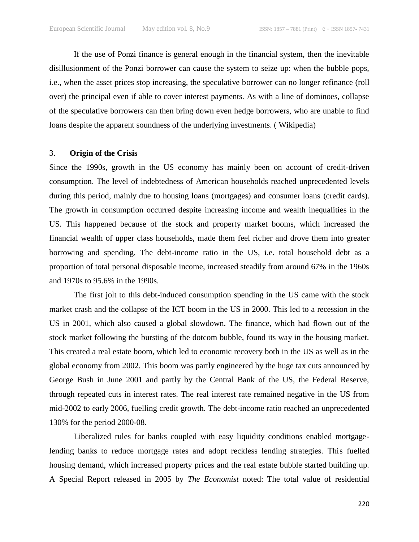If the use of Ponzi finance is general enough in the financial system, then the inevitable disillusionment of the Ponzi borrower can cause the system to seize up: when the bubble pops, i.e., when the asset prices stop increasing, the speculative borrower can no longer refinance (roll over) the principal even if able to cover interest payments. As with a line of dominoes, collapse of the speculative borrowers can then bring down even hedge borrowers, who are unable to find loans despite the apparent soundness of the underlying investments. ( Wikipedia)

#### 3. **Origin of the Crisis**

Since the 1990s, growth in the US economy has mainly been on account of credit-driven consumption. The level of indebtedness of American households reached unprecedented levels during this period, mainly due to housing loans (mortgages) and consumer loans (credit cards). The growth in consumption occurred despite increasing income and wealth inequalities in the US. This happened because of the stock and property market booms, which increased the financial wealth of upper class households, made them feel richer and drove them into greater borrowing and spending. The debt-income ratio in the US, i.e. total household debt as a proportion of total personal disposable income, increased steadily from around 67% in the 1960s and 1970s to 95.6% in the 1990s.

The first jolt to this debt-induced consumption spending in the US came with the stock market crash and the collapse of the ICT boom in the US in 2000. This led to a recession in the US in 2001, which also caused a global slowdown. The finance, which had flown out of the stock market following the bursting of the dotcom bubble, found its way in the housing market. This created a real estate boom, which led to economic recovery both in the US as well as in the global economy from 2002. This boom was partly engineered by the huge tax cuts announced by George Bush in June 2001 and partly by the Central Bank of the US, the Federal Reserve, through repeated cuts in interest rates. The real interest rate remained negative in the US from mid-2002 to early 2006, fuelling credit growth. The debt-income ratio reached an unprecedented 130% for the period 2000-08.

Liberalized rules for banks coupled with easy liquidity conditions enabled mortgagelending banks to reduce mortgage rates and adopt reckless lending strategies. This fuelled housing demand, which increased property prices and the real estate bubble started building up. A Special Report released in 2005 by *The Economist* noted: The total value of residential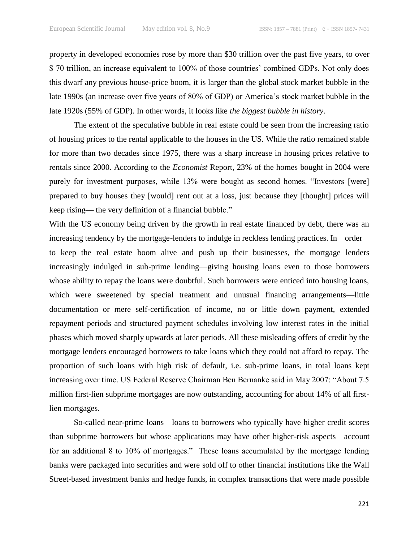property in developed economies rose by more than \$30 trillion over the past five years, to over \$ 70 trillion, an increase equivalent to 100% of those countries' combined GDPs. Not only does this dwarf any previous house-price boom, it is larger than the global stock market bubble in the late 1990s (an increase over five years of 80% of GDP) or America's stock market bubble in the late 1920s (55% of GDP). In other words, it looks like *the biggest bubble in history*.

The extent of the speculative bubble in real estate could be seen from the increasing ratio of housing prices to the rental applicable to the houses in the US. While the ratio remained stable for more than two decades since 1975, there was a sharp increase in housing prices relative to rentals since 2000. According to the *Economist* Report, 23% of the homes bought in 2004 were purely for investment purposes, while 13% were bought as second homes. "Investors [were] prepared to buy houses they [would] rent out at a loss, just because they [thought] prices will keep rising— the very definition of a financial bubble."

With the US economy being driven by the growth in real estate financed by debt, there was an increasing tendency by the mortgage-lenders to indulge in reckless lending practices. In order to keep the real estate boom alive and push up their businesses, the mortgage lenders increasingly indulged in sub-prime lending—giving housing loans even to those borrowers whose ability to repay the loans were doubtful. Such borrowers were enticed into housing loans, which were sweetened by special treatment and unusual financing arrangements—little documentation or mere self-certification of income, no or little down payment, extended repayment periods and structured payment schedules involving low interest rates in the initial phases which moved sharply upwards at later periods. All these misleading offers of credit by the mortgage lenders encouraged borrowers to take loans which they could not afford to repay. The proportion of such loans with high risk of default, i.e. sub-prime loans, in total loans kept increasing over time. US Federal Reserve Chairman Ben Bernanke said in May 2007: "About 7.5 million first-lien subprime mortgages are now outstanding, accounting for about 14% of all firstlien mortgages.

So-called near-prime loans—loans to borrowers who typically have higher credit scores than subprime borrowers but whose applications may have other higher-risk aspects—account for an additional 8 to 10% of mortgages." These loans accumulated by the mortgage lending banks were packaged into securities and were sold off to other financial institutions like the Wall Street-based investment banks and hedge funds, in complex transactions that were made possible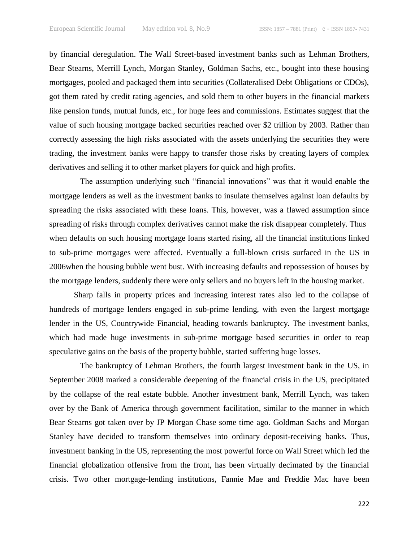by financial deregulation. The Wall Street-based investment banks such as Lehman Brothers, Bear Stearns, Merrill Lynch, Morgan Stanley, Goldman Sachs, etc., bought into these housing mortgages, pooled and packaged them into securities (Collateralised Debt Obligations or CDOs), got them rated by credit rating agencies, and sold them to other buyers in the financial markets like pension funds, mutual funds, etc., for huge fees and commissions. Estimates suggest that the value of such housing mortgage backed securities reached over \$2 trillion by 2003. Rather than correctly assessing the high risks associated with the assets underlying the securities they were trading, the investment banks were happy to transfer those risks by creating layers of complex derivatives and selling it to other market players for quick and high profits.

The assumption underlying such "financial innovations" was that it would enable the mortgage lenders as well as the investment banks to insulate themselves against loan defaults by spreading the risks associated with these loans. This, however, was a flawed assumption since spreading of risks through complex derivatives cannot make the risk disappear completely. Thus when defaults on such housing mortgage loans started rising, all the financial institutions linked to sub-prime mortgages were affected. Eventually a full-blown crisis surfaced in the US in 2006when the housing bubble went bust. With increasing defaults and repossession of houses by the mortgage lenders, suddenly there were only sellers and no buyers left in the housing market.

Sharp falls in property prices and increasing interest rates also led to the collapse of hundreds of mortgage lenders engaged in sub-prime lending, with even the largest mortgage lender in the US, Countrywide Financial, heading towards bankruptcy. The investment banks, which had made huge investments in sub-prime mortgage based securities in order to reap speculative gains on the basis of the property bubble, started suffering huge losses.

The bankruptcy of Lehman Brothers, the fourth largest investment bank in the US, in September 2008 marked a considerable deepening of the financial crisis in the US, precipitated by the collapse of the real estate bubble. Another investment bank, Merrill Lynch, was taken over by the Bank of America through government facilitation, similar to the manner in which Bear Stearns got taken over by JP Morgan Chase some time ago. Goldman Sachs and Morgan Stanley have decided to transform themselves into ordinary deposit-receiving banks. Thus, investment banking in the US, representing the most powerful force on Wall Street which led the financial globalization offensive from the front, has been virtually decimated by the financial crisis. Two other mortgage-lending institutions, Fannie Mae and Freddie Mac have been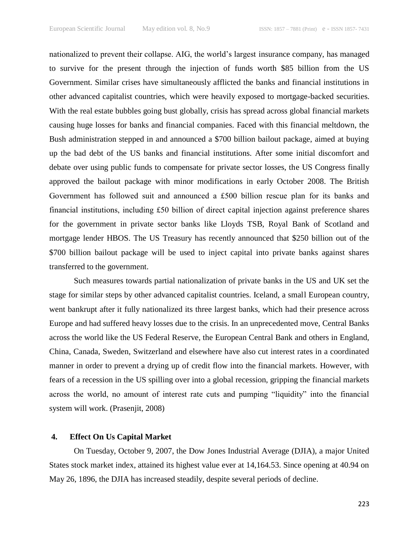nationalized to prevent their collapse. AIG, the world's largest insurance company, has managed to survive for the present through the injection of funds worth \$85 billion from the US Government. Similar crises have simultaneously afflicted the banks and financial institutions in other advanced capitalist countries, which were heavily exposed to mortgage-backed securities. With the real estate bubbles going bust globally, crisis has spread across global financial markets causing huge losses for banks and financial companies. Faced with this financial meltdown, the Bush administration stepped in and announced a \$700 billion bailout package, aimed at buying up the bad debt of the US banks and financial institutions. After some initial discomfort and debate over using public funds to compensate for private sector losses, the US Congress finally approved the bailout package with minor modifications in early October 2008. The British Government has followed suit and announced a £500 billion rescue plan for its banks and financial institutions, including £50 billion of direct capital injection against preference shares for the government in private sector banks like Lloyds TSB, Royal Bank of Scotland and mortgage lender HBOS. The US Treasury has recently announced that \$250 billion out of the \$700 billion bailout package will be used to inject capital into private banks against shares transferred to the government.

Such measures towards partial nationalization of private banks in the US and UK set the stage for similar steps by other advanced capitalist countries. Iceland, a small European country, went bankrupt after it fully nationalized its three largest banks, which had their presence across Europe and had suffered heavy losses due to the crisis. In an unprecedented move, Central Banks across the world like the US Federal Reserve, the European Central Bank and others in England, China, Canada, Sweden, Switzerland and elsewhere have also cut interest rates in a coordinated manner in order to prevent a drying up of credit flow into the financial markets. However, with fears of a recession in the US spilling over into a global recession, gripping the financial markets across the world, no amount of interest rate cuts and pumping "liquidity" into the financial system will work. (Prasenjit, 2008)

# **4. Effect On Us Capital Market**

On Tuesday, October 9, 2007, the Dow Jones Industrial Average (DJIA), a major United States stock market index, attained its highest value ever at 14,164.53. Since opening at 40.94 on May 26, 1896, the DJIA has increased steadily, despite several periods of decline.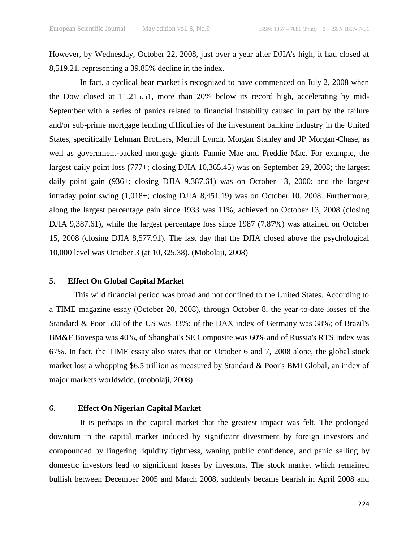However, by Wednesday, October 22, 2008, just over a year after DJIA's high, it had closed at 8,519.21, representing a 39.85% decline in the index.

In fact, a cyclical bear market is recognized to have commenced on July 2, 2008 when the Dow closed at 11,215.51, more than 20% below its record high, accelerating by mid-September with a series of panics related to financial instability caused in part by the failure and/or sub-prime mortgage lending difficulties of the investment banking industry in the United States, specifically Lehman Brothers, Merrill Lynch, Morgan Stanley and JP Morgan-Chase, as well as government-backed mortgage giants Fannie Mae and Freddie Mac. For example, the largest daily point loss (777+; closing DJIA 10,365.45) was on September 29, 2008; the largest daily point gain (936+; closing DJIA 9,387.61) was on October 13, 2000; and the largest intraday point swing (1,018+; closing DJIA 8,451.19) was on October 10, 2008. Furthermore, along the largest percentage gain since 1933 was 11%, achieved on October 13, 2008 (closing DJIA 9,387.61), while the largest percentage loss since 1987 (7.87%) was attained on October 15, 2008 (closing DJIA 8,577.91). The last day that the DJIA closed above the psychological 10,000 level was October 3 (at 10,325.38). (Mobolaji, 2008)

#### **5. Effect On Global Capital Market**

This wild financial period was broad and not confined to the United States. According to a TIME magazine essay (October 20, 2008), through October 8, the year-to-date losses of the Standard & Poor 500 of the US was 33%; of the DAX index of Germany was 38%; of Brazil's BM&F Bovespa was 40%, of Shanghai's SE Composite was 60% and of Russia's RTS Index was 67%. In fact, the TIME essay also states that on October 6 and 7, 2008 alone, the global stock market lost a whopping \$6.5 trillion as measured by Standard & Poor's BMI Global, an index of major markets worldwide. (mobolaji, 2008)

## 6. **Effect On Nigerian Capital Market**

It is perhaps in the capital market that the greatest impact was felt. The prolonged downturn in the capital market induced by significant divestment by foreign investors and compounded by lingering liquidity tightness, waning public confidence, and panic selling by domestic investors lead to significant losses by investors. The stock market which remained bullish between December 2005 and March 2008, suddenly became bearish in April 2008 and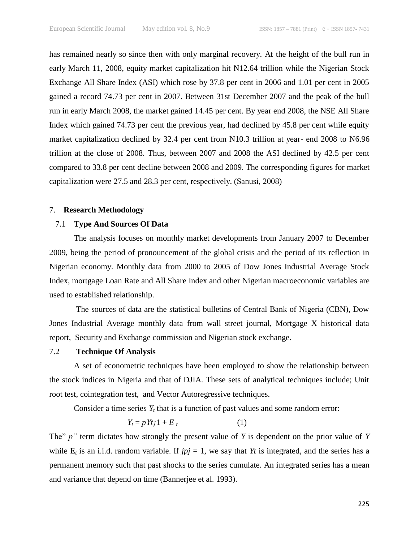has remained nearly so since then with only marginal recovery. At the height of the bull run in early March 11, 2008, equity market capitalization hit N12.64 trillion while the Nigerian Stock Exchange All Share Index (ASI) which rose by 37.8 per cent in 2006 and 1.01 per cent in 2005 gained a record 74.73 per cent in 2007. Between 31st December 2007 and the peak of the bull run in early March 2008, the market gained 14.45 per cent. By year end 2008, the NSE All Share Index which gained 74.73 per cent the previous year, had declined by 45.8 per cent while equity market capitalization declined by 32.4 per cent from N10.3 trillion at year- end 2008 to N6.96 trillion at the close of 2008. Thus, between 2007 and 2008 the ASI declined by 42.5 per cent compared to 33.8 per cent decline between 2008 and 2009. The corresponding figures for market capitalization were 27.5 and 28.3 per cent, respectively. (Sanusi, 2008)

#### 7. **Research Methodology**

# 7.1 **Type And Sources Of Data**

The analysis focuses on monthly market developments from January 2007 to December 2009, being the period of pronouncement of the global crisis and the period of its reflection in Nigerian economy. Monthly data from 2000 to 2005 of Dow Jones Industrial Average Stock Index, mortgage Loan Rate and All Share Index and other Nigerian macroeconomic variables are used to established relationship.

The sources of data are the statistical bulletins of Central Bank of Nigeria (CBN), Dow Jones Industrial Average monthly data from wall street journal, Mortgage X historical data report, Security and Exchange commission and Nigerian stock exchange.

## 7.2 **Technique Of Analysis**

A set of econometric techniques have been employed to show the relationship between the stock indices in Nigeria and that of DJIA. These sets of analytical techniques include; Unit root test, cointegration test, and Vector Autoregressive techniques.

Consider a time series  $Y_t$  that is a function of past values and some random error:

$$
Y_t = p Y t_i 1 + E_t \tag{1}
$$

The" *p*" term dictates how strongly the present value of *Y* is dependent on the prior value of *Y* while  $E_t$  is an i.i.d. random variable. If  $jpj = 1$ , we say that *Yt* is integrated, and the series has a permanent memory such that past shocks to the series cumulate. An integrated series has a mean and variance that depend on time (Bannerjee et al. 1993).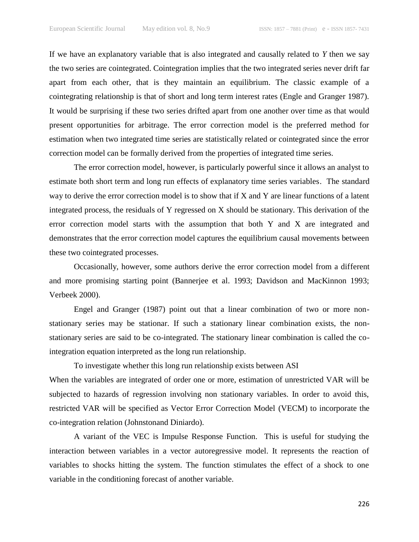If we have an explanatory variable that is also integrated and causally related to *Y* then we say the two series are cointegrated. Cointegration implies that the two integrated series never drift far apart from each other, that is they maintain an equilibrium. The classic example of a cointegrating relationship is that of short and long term interest rates (Engle and Granger 1987). It would be surprising if these two series drifted apart from one another over time as that would present opportunities for arbitrage. The error correction model is the preferred method for estimation when two integrated time series are statistically related or cointegrated since the error correction model can be formally derived from the properties of integrated time series.

The error correction model, however, is particularly powerful since it allows an analyst to estimate both short term and long run effects of explanatory time series variables. The standard way to derive the error correction model is to show that if X and Y are linear functions of a latent integrated process, the residuals of Y regressed on X should be stationary. This derivation of the error correction model starts with the assumption that both Y and X are integrated and demonstrates that the error correction model captures the equilibrium causal movements between these two cointegrated processes.

Occasionally, however, some authors derive the error correction model from a different and more promising starting point (Bannerjee et al. 1993; Davidson and MacKinnon 1993; Verbeek 2000).

Engel and Granger (1987) point out that a linear combination of two or more nonstationary series may be stationar. If such a stationary linear combination exists, the nonstationary series are said to be co-integrated. The stationary linear combination is called the cointegration equation interpreted as the long run relationship.

To investigate whether this long run relationship exists between ASI When the variables are integrated of order one or more, estimation of unrestricted VAR will be subjected to hazards of regression involving non stationary variables. In order to avoid this, restricted VAR will be specified as Vector Error Correction Model (VECM) to incorporate the co-integration relation (Johnstonand Diniardo).

A variant of the VEC is Impulse Response Function. This is useful for studying the interaction between variables in a vector autoregressive model. It represents the reaction of variables to shocks hitting the system. The function stimulates the effect of a shock to one variable in the conditioning forecast of another variable.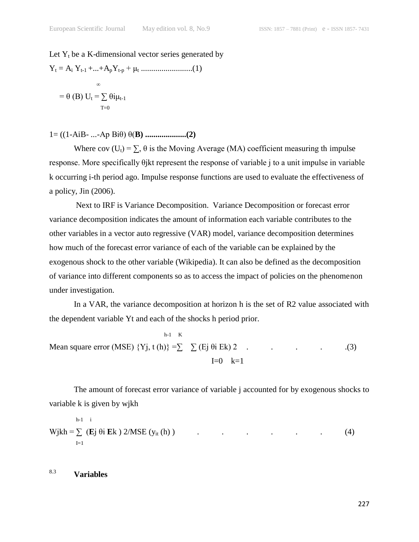## Let  $Y_t$  be a K-dimensional vector series generated by

Y<sup>t</sup> = A<sup>i</sup> Yt-1 +...+ApYt-p + μ<sup>t</sup> .........................(1) <sup>∞</sup> = θ (B) U<sup>t</sup> = ∑ θiμt-1 T=0

1= ((1-AiB- ...-Ap Biθ) θ(**B) ....................(2)**

Where cov  $(U_t) = \sum$ ,  $\theta$  is the Moving Average (MA) coefficient measuring th impulse response. More specifically θjkt represent the response of variable j to a unit impulse in variable k occurring i-th period ago. Impulse response functions are used to evaluate the effectiveness of a policy, Jin (2006).

Next to IRF is Variance Decomposition. Variance Decomposition or forecast error variance decomposition indicates the amount of information each variable contributes to the other variables in a vector auto regressive (VAR) model, variance decomposition determines how much of the forecast error variance of each of the variable can be explained by the exogenous shock to the other variable (Wikipedia). It can also be defined as the decomposition of variance into different components so as to access the impact of policies on the phenomenon under investigation.

In a VAR, the variance decomposition at horizon h is the set of R2 value associated with the dependent variable Yt and each of the shocks h period prior.

 h-1 K Mean square error (MSE) {Yj, t (h)} =∑ ∑ (Ej θi Ek) 2 . . . . .(3)  $I=0$   $k=1$ 

The amount of forecast error variance of variable j accounted for by exogenous shocks to variable k is given by wjkh

$$
Wjkh = \sum_{I=1}^{h-1} (Ej \theta i Ek) 2/MSE (y_{it} (h))
$$
 (4)

8.3 **Variables**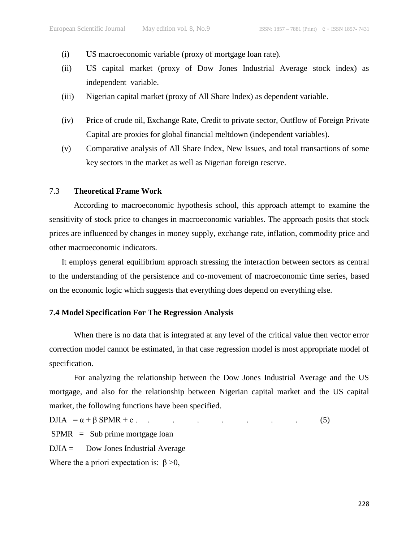- (i) US macroeconomic variable (proxy of mortgage loan rate).
- (ii) US capital market (proxy of Dow Jones Industrial Average stock index) as independent variable.
- (iii) Nigerian capital market (proxy of All Share Index) as dependent variable.
- (iv) Price of crude oil, Exchange Rate, Credit to private sector, Outflow of Foreign Private Capital are proxies for global financial meltdown (independent variables).
- (v) Comparative analysis of All Share Index, New Issues, and total transactions of some key sectors in the market as well as Nigerian foreign reserve.

#### 7.3 **Theoretical Frame Work**

According to macroeconomic hypothesis school, this approach attempt to examine the sensitivity of stock price to changes in macroeconomic variables. The approach posits that stock prices are influenced by changes in money supply, exchange rate, inflation, commodity price and other macroeconomic indicators.

It employs general equilibrium approach stressing the interaction between sectors as central to the understanding of the persistence and co-movement of macroeconomic time series, based on the economic logic which suggests that everything does depend on everything else.

### **7.4 Model Specification For The Regression Analysis**

When there is no data that is integrated at any level of the critical value then vector error correction model cannot be estimated, in that case regression model is most appropriate model of specification.

For analyzing the relationship between the Dow Jones Industrial Average and the US mortgage, and also for the relationship between Nigerian capital market and the US capital market, the following functions have been specified.

 $\text{DJA} = \alpha + \beta \text{SPMR} + \text{e}$  (5)

SPMR = Sub prime mortgage loan

 $D JIA =$  Dow Jones Industrial Average

Where the a priori expectation is:  $\beta > 0$ ,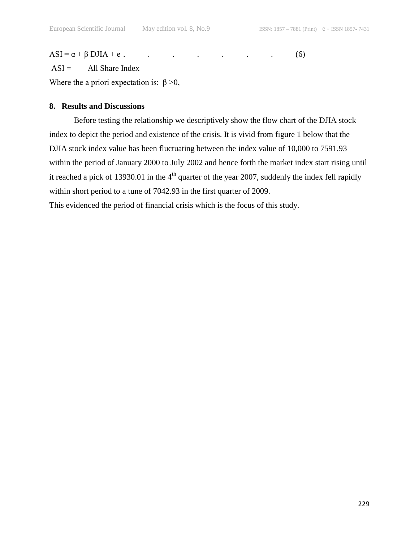$ASI = \alpha + \beta \text{ DJIA} + e$ . (6)

 $ASI =$  All Share Index

Where the a priori expectation is:  $\beta > 0$ ,

# **8. Results and Discussions**

Before testing the relationship we descriptively show the flow chart of the DJIA stock index to depict the period and existence of the crisis. It is vivid from figure 1 below that the DJIA stock index value has been fluctuating between the index value of 10,000 to 7591.93 within the period of January 2000 to July 2002 and hence forth the market index start rising until it reached a pick of 13930.01 in the  $4<sup>th</sup>$  quarter of the year 2007, suddenly the index fell rapidly within short period to a tune of 7042.93 in the first quarter of 2009.

This evidenced the period of financial crisis which is the focus of this study.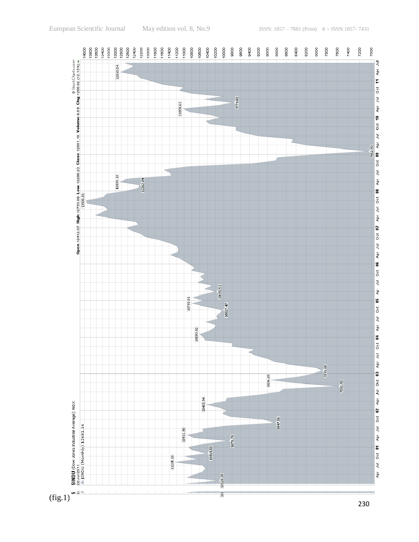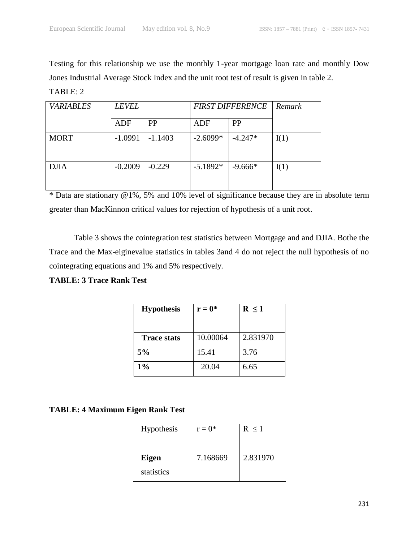Testing for this relationship we use the monthly 1-year mortgage loan rate and monthly Dow Jones Industrial Average Stock Index and the unit root test of result is given in table 2.

TABLE: 2

| <b>VARIABLES</b> | <b>LEVEL</b> |           | <b>FIRST DIFFERENCE</b> |           | Remark |
|------------------|--------------|-----------|-------------------------|-----------|--------|
|                  | ADF          | <b>PP</b> | <b>ADF</b>              | <b>PP</b> |        |
| <b>MORT</b>      | $-1.0991$    | $-1.1403$ | $-2.6099*$              | $-4.247*$ | I(1)   |
| <b>DJIA</b>      | $-0.2009$    | $-0.229$  | $-5.1892*$              | $-9.666*$ | I(1)   |

\* Data are stationary @1%, 5% and 10% level of significance because they are in absolute term greater than MacKinnon critical values for rejection of hypothesis of a unit root.

Table 3 shows the cointegration test statistics between Mortgage and and DJIA. Bothe the Trace and the Max-eiginevalue statistics in tables 3and 4 do not reject the null hypothesis of no cointegrating equations and 1% and 5% respectively.

**TABLE: 3 Trace Rank Test**

| <b>Hypothesis</b>  | $r = 0^*$ | $R \leq 1$ |  |
|--------------------|-----------|------------|--|
|                    |           |            |  |
| <b>Trace stats</b> | 10.00064  | 2.831970   |  |
| 5%                 | 15.41     | 3.76       |  |
| $1\%$              | 20.04     | 6.65       |  |

# **TABLE: 4 Maximum Eigen Rank Test**

| Hypothesis | $r = 0^*$ | R < 1    |
|------------|-----------|----------|
| Eigen      | 7.168669  | 2.831970 |
| statistics |           |          |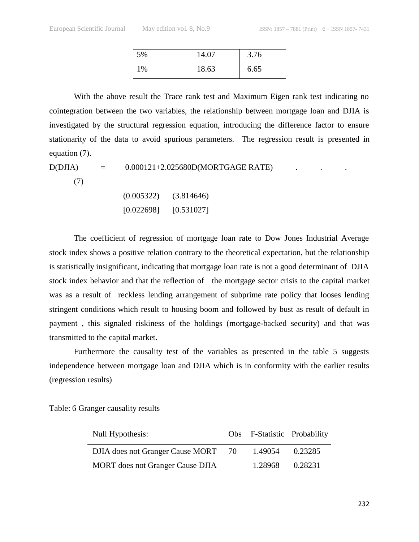| 5% | 14.07 | 3.76 |
|----|-------|------|
| 1% | 18.63 | 6.65 |

With the above result the Trace rank test and Maximum Eigen rank test indicating no cointegration between the two variables, the relationship between mortgage loan and DJIA is investigated by the structural regression equation, introducing the difference factor to ensure stationarity of the data to avoid spurious parameters. The regression result is presented in equation (7).

 $D(DJIA)$  =  $0.000121 + 2.025680D(MORTGAGE RATE)$  .

(7)

| (0.005322) | (3.814646) |
|------------|------------|
| [0.022698] | [0.531027] |

The coefficient of regression of mortgage loan rate to Dow Jones Industrial Average stock index shows a positive relation contrary to the theoretical expectation, but the relationship is statistically insignificant, indicating that mortgage loan rate is not a good determinant of DJIA stock index behavior and that the reflection of the mortgage sector crisis to the capital market was as a result of reckless lending arrangement of subprime rate policy that looses lending stringent conditions which result to housing boom and followed by bust as result of default in payment , this signaled riskiness of the holdings (mortgage-backed security) and that was transmitted to the capital market.

Furthermore the causality test of the variables as presented in the table 5 suggests independence between mortgage loan and DJIA which is in conformity with the earlier results (regression results)

Table: 6 Granger causality results

| Null Hypothesis:                        | Obs F-Statistic Probability |         |
|-----------------------------------------|-----------------------------|---------|
| DJIA does not Granger Cause MORT 70     | 1.49054                     | 0.23285 |
| <b>MORT</b> does not Granger Cause DJIA | 1.28968 0.28231             |         |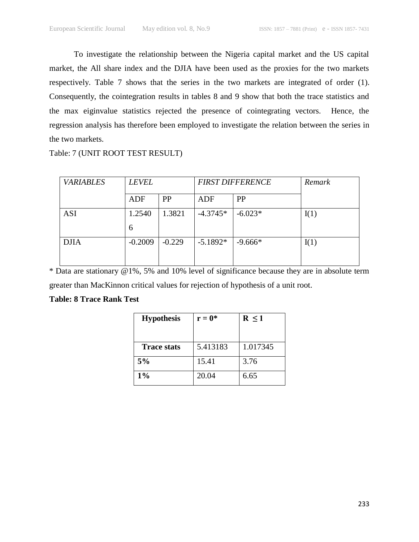To investigate the relationship between the Nigeria capital market and the US capital market, the All share index and the DJIA have been used as the proxies for the two markets respectively. Table 7 shows that the series in the two markets are integrated of order (1). Consequently, the cointegration results in tables 8 and 9 show that both the trace statistics and the max eiginvalue statistics rejected the presence of cointegrating vectors. Hence, the regression analysis has therefore been employed to investigate the relation between the series in the two markets.

Table: 7 (UNIT ROOT TEST RESULT)

| <b>VARIABLES</b> | <b>LEVEL</b> |           | <b>FIRST DIFFERENCE</b> |           | Remark |
|------------------|--------------|-----------|-------------------------|-----------|--------|
|                  | ADF          | <b>PP</b> | ADF                     | PP        |        |
| <b>ASI</b>       | 1.2540       | 1.3821    | $-4.3745*$              | $-6.023*$ | I(1)   |
|                  | 6            |           |                         |           |        |
| <b>DJIA</b>      | $-0.2009$    | $-0.229$  | $-5.1892*$              | $-9.666*$ | I(1)   |
|                  |              |           |                         |           |        |

\* Data are stationary @1%, 5% and 10% level of significance because they are in absolute term greater than MacKinnon critical values for rejection of hypothesis of a unit root.

# **Table: 8 Trace Rank Test**

| <b>Hypothesis</b> | $r = 0^*$ | $R \leq 1$ |  |
|-------------------|-----------|------------|--|
|                   |           |            |  |
| Trace stats       | 5.413183  | 1.017345   |  |
| 5%                | 15.41     | 3.76       |  |
| $1\%$             | 20.04     | 6.65       |  |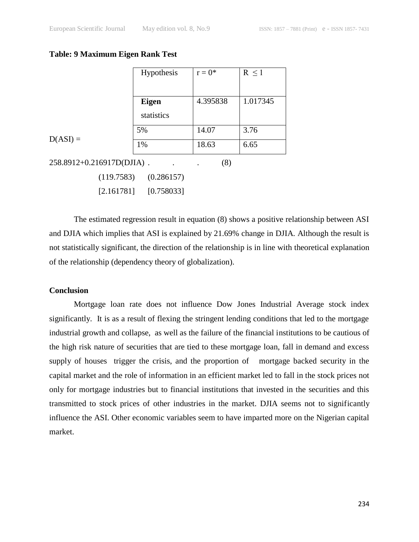#### **Table: 9 Maximum Eigen Rank Test**

|                           | Hypothesis   | $r = 0^*$ | $R \leq 1$ |
|---------------------------|--------------|-----------|------------|
|                           |              |           |            |
|                           | <b>Eigen</b> | 4.395838  | 1.017345   |
|                           | statistics   |           |            |
|                           | 5%           | 14.07     | 3.76       |
| $D(ASI) =$                | 1%           | 18.63     | 6.65       |
| 258.8912+0.216917D(DJIA). |              | (8)       |            |
| (119.7583)                | (0.286157)   |           |            |

[2.161781] [0.758033]

The estimated regression result in equation (8) shows a positive relationship between ASI and DJIA which implies that ASI is explained by 21.69% change in DJIA. Although the result is not statistically significant, the direction of the relationship is in line with theoretical explanation of the relationship (dependency theory of globalization).

# **Conclusion**

Mortgage loan rate does not influence Dow Jones Industrial Average stock index significantly. It is as a result of flexing the stringent lending conditions that led to the mortgage industrial growth and collapse, as well as the failure of the financial institutions to be cautious of the high risk nature of securities that are tied to these mortgage loan, fall in demand and excess supply of houses trigger the crisis, and the proportion of mortgage backed security in the capital market and the role of information in an efficient market led to fall in the stock prices not only for mortgage industries but to financial institutions that invested in the securities and this transmitted to stock prices of other industries in the market. DJIA seems not to significantly influence the ASI. Other economic variables seem to have imparted more on the Nigerian capital market.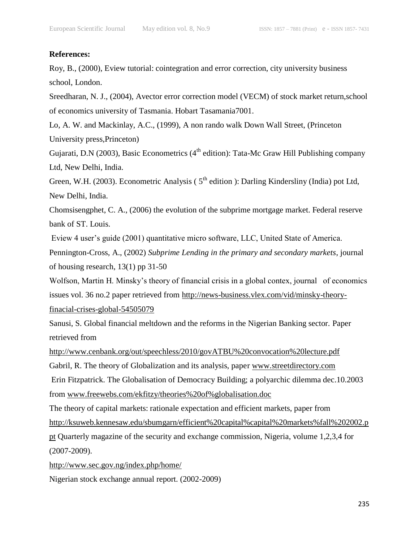# **References:**

Roy, B., (2000), Eview tutorial: cointegration and error correction, city university business school, London.

Sreedharan, N. J., (2004), Avector error correction model (VECM) of stock market return,school of economics university of Tasmania. Hobart Tasamania7001.

Lo, A. W. and Mackinlay, A.C., (1999), A non rando walk Down Wall Street, (Princeton University press,Princeton)

Gujarati, D.N (2003), Basic Econometrics ( $4<sup>th</sup>$  edition): Tata-Mc Graw Hill Publishing company Ltd, New Delhi, India.

Green, W.H. (2003). Econometric Analysis (5<sup>th</sup> edition ): Darling Kindersliny (India) pot Ltd, New Delhi, India.

Chomsisengphet, C. A., (2006) the evolution of the subprime mortgage market. Federal reserve bank of ST. Louis.

Eview 4 user's guide (2001) quantitative micro software, LLC, United State of America.

Pennington-Cross, A., (2002) *Subprime Lending in the primary and secondary markets*, journal of housing research, 13(1) pp 31-50

Wolfson, Martin H. Minsky's theory of financial crisis in a global contex, journal of economics issues vol. 36 no.2 paper retrieved from [http://news-business.vlex.com/vid/minsky-theory](http://news-business.vlex.com/vid/minsky-theory-finacial-crises-global-54505079)[finacial-crises-global-54505079](http://news-business.vlex.com/vid/minsky-theory-finacial-crises-global-54505079)

Sanusi, S. Global financial meltdown and the reforms in the Nigerian Banking sector. Paper retrieved from

<http://www.cenbank.org/out/speechless/2010/govATBU%20convocation%20lecture.pdf> Gabril, R. The theory of Globalization and its analysis, paper [www.streetdirectory.com](http://www.streetdirectory.com/)

Erin Fitzpatrick. The Globalisation of Democracy Building; a polyarchic dilemma dec.10.2003 from [www.freewebs.com/ekfitzy/theories%20of%globalisation.doc](http://www.freewebs.com/ekfitzy/theories%20of%25globalisation.doc)

The theory of capital markets: rationale expectation and efficient markets, paper from [http://ksuweb.kennesaw.edu/sbumgarn/efficient%20capital%capital%20markets%fall%202002.p](http://ksuweb.kennesaw.edu/sbumgarn/efficient%20capital%capital%20markets%fall%202002.ppt)

[pt](http://ksuweb.kennesaw.edu/sbumgarn/efficient%20capital%capital%20markets%fall%202002.ppt) Quarterly magazine of the security and exchange commission, Nigeria, volume 1,2,3,4 for (2007-2009).

<http://www.sec.gov.ng/index.php/home/>

Nigerian stock exchange annual report. (2002-2009)